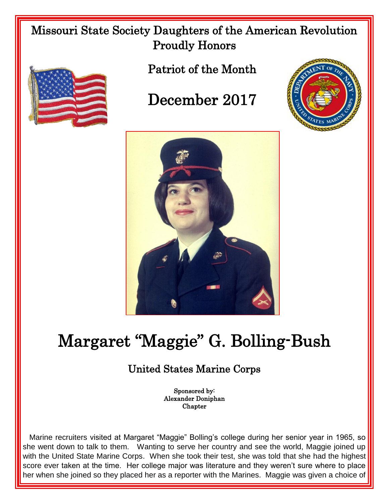## Missouri State Society Daughters of the American Revolution Proudly Honors



Patriot of the Month

## December 2017





## Margaret "Maggie" G. Bolling-Bush

## United States Marine Corps

Sponsored by: Alexander Doniphan Chapter

 Marine recruiters visited at Margaret "Maggie" Bolling's college during her senior year in 1965, so she went down to talk to them. Wanting to serve her country and see the world, Maggie joined up with the United State Marine Corps. When she took their test, she was told that she had the highest score ever taken at the time. Her college major was literature and they weren't sure where to place her when she joined so they placed her as a reporter with the Marines. Maggie was given a choice of